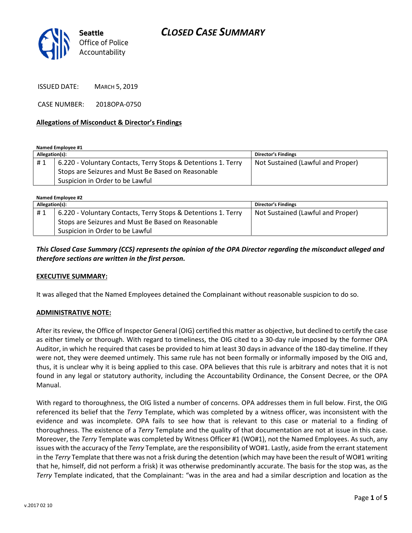

ISSUED DATE: MARCH 5, 2019

CASE NUMBER: 2018OPA-0750

#### Allegations of Misconduct & Director's Findings

Named Employee #1

| Allegation(s): |                                                               | Director's Findings               |
|----------------|---------------------------------------------------------------|-----------------------------------|
| #1             | 6.220 - Voluntary Contacts, Terry Stops & Detentions 1. Terry | Not Sustained (Lawful and Proper) |
|                | Stops are Seizures and Must Be Based on Reasonable            |                                   |
|                | Suspicion in Order to be Lawful                               |                                   |

Named Employee #2

| Allegation(s): |                                                               | <b>Director's Findings</b>        |  |
|----------------|---------------------------------------------------------------|-----------------------------------|--|
| #1             | 6.220 - Voluntary Contacts, Terry Stops & Detentions 1. Terry | Not Sustained (Lawful and Proper) |  |
|                | Stops are Seizures and Must Be Based on Reasonable            |                                   |  |
|                | Suspicion in Order to be Lawful                               |                                   |  |

This Closed Case Summary (CCS) represents the opinion of the OPA Director regarding the misconduct alleged and therefore sections are written in the first person.

#### EXECUTIVE SUMMARY:

It was alleged that the Named Employees detained the Complainant without reasonable suspicion to do so.

#### ADMINISTRATIVE NOTE:

After its review, the Office of Inspector General (OIG) certified this matter as objective, but declined to certify the case as either timely or thorough. With regard to timeliness, the OIG cited to a 30-day rule imposed by the former OPA Auditor, in which he required that cases be provided to him at least 30 days in advance of the 180-day timeline. If they were not, they were deemed untimely. This same rule has not been formally or informally imposed by the OIG and, thus, it is unclear why it is being applied to this case. OPA believes that this rule is arbitrary and notes that it is not found in any legal or statutory authority, including the Accountability Ordinance, the Consent Decree, or the OPA Manual.

With regard to thoroughness, the OIG listed a number of concerns. OPA addresses them in full below. First, the OIG referenced its belief that the Terry Template, which was completed by a witness officer, was inconsistent with the evidence and was incomplete. OPA fails to see how that is relevant to this case or material to a finding of thoroughness. The existence of a Terry Template and the quality of that documentation are not at issue in this case. Moreover, the Terry Template was completed by Witness Officer #1 (WO#1), not the Named Employees. As such, any issues with the accuracy of the Terry Template, are the responsibility of WO#1. Lastly, aside from the errant statement in the Terry Template that there was not a frisk during the detention (which may have been the result of WO#1 writing that he, himself, did not perform a frisk) it was otherwise predominantly accurate. The basis for the stop was, as the Terry Template indicated, that the Complainant: "was in the area and had a similar description and location as the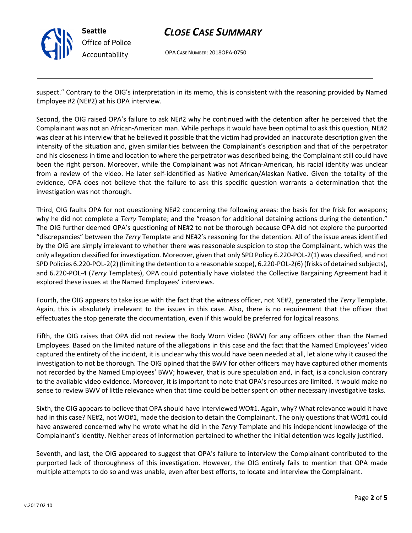

# CLOSE CASE SUMMARY

OPA CASE NUMBER: 2018OPA-0750

suspect." Contrary to the OIG's interpretation in its memo, this is consistent with the reasoning provided by Named Employee #2 (NE#2) at his OPA interview.

Second, the OIG raised OPA's failure to ask NE#2 why he continued with the detention after he perceived that the Complainant was not an African-American man. While perhaps it would have been optimal to ask this question, NE#2 was clear at his interview that he believed it possible that the victim had provided an inaccurate description given the intensity of the situation and, given similarities between the Complainant's description and that of the perpetrator and his closeness in time and location to where the perpetrator was described being, the Complainant still could have been the right person. Moreover, while the Complainant was not African-American, his racial identity was unclear from a review of the video. He later self-identified as Native American/Alaskan Native. Given the totality of the evidence, OPA does not believe that the failure to ask this specific question warrants a determination that the investigation was not thorough.

Third, OIG faults OPA for not questioning NE#2 concerning the following areas: the basis for the frisk for weapons; why he did not complete a Terry Template; and the "reason for additional detaining actions during the detention." The OIG further deemed OPA's questioning of NE#2 to not be thorough because OPA did not explore the purported "discrepancies" between the Terry Template and NE#2's reasoning for the detention. All of the issue areas identified by the OIG are simply irrelevant to whether there was reasonable suspicion to stop the Complainant, which was the only allegation classified for investigation. Moreover, given that only SPD Policy 6.220-POL-2(1) was classified, and not SPD Policies 6.220-POL-2(2) (limiting the detention to a reasonable scope), 6.220-POL-2(6) (frisks of detained subjects), and 6.220-POL-4 (Terry Templates), OPA could potentially have violated the Collective Bargaining Agreement had it explored these issues at the Named Employees' interviews.

Fourth, the OIG appears to take issue with the fact that the witness officer, not NE#2, generated the Terry Template. Again, this is absolutely irrelevant to the issues in this case. Also, there is no requirement that the officer that effectuates the stop generate the documentation, even if this would be preferred for logical reasons.

Fifth, the OIG raises that OPA did not review the Body Worn Video (BWV) for any officers other than the Named Employees. Based on the limited nature of the allegations in this case and the fact that the Named Employees' video captured the entirety of the incident, it is unclear why this would have been needed at all, let alone why it caused the investigation to not be thorough. The OIG opined that the BWV for other officers may have captured other moments not recorded by the Named Employees' BWV; however, that is pure speculation and, in fact, is a conclusion contrary to the available video evidence. Moreover, it is important to note that OPA's resources are limited. It would make no sense to review BWV of little relevance when that time could be better spent on other necessary investigative tasks.

Sixth, the OIG appears to believe that OPA should have interviewed WO#1. Again, why? What relevance would it have had in this case? NE#2, not WO#1, made the decision to detain the Complainant. The only questions that WO#1 could have answered concerned why he wrote what he did in the Terry Template and his independent knowledge of the Complainant's identity. Neither areas of information pertained to whether the initial detention was legally justified.

Seventh, and last, the OIG appeared to suggest that OPA's failure to interview the Complainant contributed to the purported lack of thoroughness of this investigation. However, the OIG entirely fails to mention that OPA made multiple attempts to do so and was unable, even after best efforts, to locate and interview the Complainant.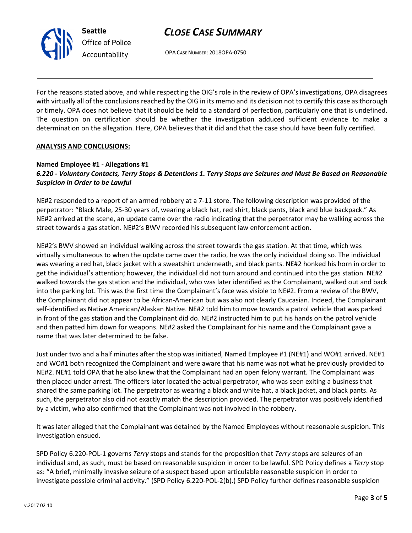## CLOSE CASE SUMMARY

OPA CASE NUMBER: 2018OPA-0750

For the reasons stated above, and while respecting the OIG's role in the review of OPA's investigations, OPA disagrees with virtually all of the conclusions reached by the OIG in its memo and its decision not to certify this case as thorough or timely. OPA does not believe that it should be held to a standard of perfection, particularly one that is undefined. The question on certification should be whether the investigation adduced sufficient evidence to make a determination on the allegation. Here, OPA believes that it did and that the case should have been fully certified.

#### ANALYSIS AND CONCLUSIONS:

Seattle

Office of Police Accountability

## Named Employee #1 - Allegations #1 6.220 - Voluntary Contacts, Terry Stops & Detentions 1. Terry Stops are Seizures and Must Be Based on Reasonable Suspicion in Order to be Lawful

NE#2 responded to a report of an armed robbery at a 7-11 store. The following description was provided of the perpetrator: "Black Male, 25-30 years of, wearing a black hat, red shirt, black pants, black and blue backpack." As NE#2 arrived at the scene, an update came over the radio indicating that the perpetrator may be walking across the street towards a gas station. NE#2's BWV recorded his subsequent law enforcement action.

NE#2's BWV showed an individual walking across the street towards the gas station. At that time, which was virtually simultaneous to when the update came over the radio, he was the only individual doing so. The individual was wearing a red hat, black jacket with a sweatshirt underneath, and black pants. NE#2 honked his horn in order to get the individual's attention; however, the individual did not turn around and continued into the gas station. NE#2 walked towards the gas station and the individual, who was later identified as the Complainant, walked out and back into the parking lot. This was the first time the Complainant's face was visible to NE#2. From a review of the BWV, the Complainant did not appear to be African-American but was also not clearly Caucasian. Indeed, the Complainant self-identified as Native American/Alaskan Native. NE#2 told him to move towards a patrol vehicle that was parked in front of the gas station and the Complainant did do. NE#2 instructed him to put his hands on the patrol vehicle and then patted him down for weapons. NE#2 asked the Complainant for his name and the Complainant gave a name that was later determined to be false.

Just under two and a half minutes after the stop was initiated, Named Employee #1 (NE#1) and WO#1 arrived. NE#1 and WO#1 both recognized the Complainant and were aware that his name was not what he previously provided to NE#2. NE#1 told OPA that he also knew that the Complainant had an open felony warrant. The Complainant was then placed under arrest. The officers later located the actual perpetrator, who was seen exiting a business that shared the same parking lot. The perpetrator as wearing a black and white hat, a black jacket, and black pants. As such, the perpetrator also did not exactly match the description provided. The perpetrator was positively identified by a victim, who also confirmed that the Complainant was not involved in the robbery.

It was later alleged that the Complainant was detained by the Named Employees without reasonable suspicion. This investigation ensued.

SPD Policy 6.220-POL-1 governs Terry stops and stands for the proposition that Terry stops are seizures of an individual and, as such, must be based on reasonable suspicion in order to be lawful. SPD Policy defines a Terry stop as: "A brief, minimally invasive seizure of a suspect based upon articulable reasonable suspicion in order to investigate possible criminal activity." (SPD Policy 6.220-POL-2(b).) SPD Policy further defines reasonable suspicion

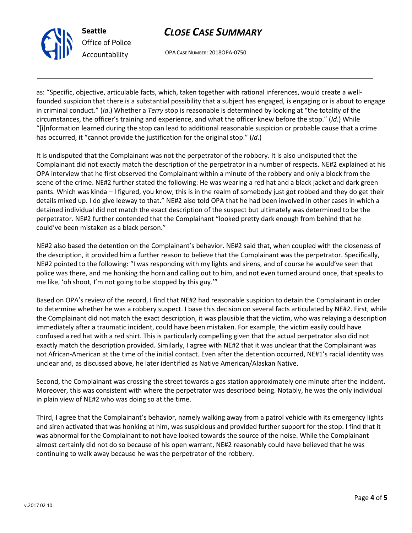# CLOSE CASE SUMMARY

OPA CASE NUMBER: 2018OPA-0750

as: "Specific, objective, articulable facts, which, taken together with rational inferences, would create a wellfounded suspicion that there is a substantial possibility that a subject has engaged, is engaging or is about to engage in criminal conduct." (Id.) Whether a Terry stop is reasonable is determined by looking at "the totality of the circumstances, the officer's training and experience, and what the officer knew before the stop." (Id.) While "[i]nformation learned during the stop can lead to additional reasonable suspicion or probable cause that a crime has occurred, it "cannot provide the justification for the original stop." (Id.)

It is undisputed that the Complainant was not the perpetrator of the robbery. It is also undisputed that the Complainant did not exactly match the description of the perpetrator in a number of respects. NE#2 explained at his OPA interview that he first observed the Complainant within a minute of the robbery and only a block from the scene of the crime. NE#2 further stated the following: He was wearing a red hat and a black jacket and dark green pants. Which was kinda – I figured, you know, this is in the realm of somebody just got robbed and they do get their details mixed up. I do give leeway to that." NE#2 also told OPA that he had been involved in other cases in which a detained individual did not match the exact description of the suspect but ultimately was determined to be the perpetrator. NE#2 further contended that the Complainant "looked pretty dark enough from behind that he could've been mistaken as a black person."

NE#2 also based the detention on the Complainant's behavior. NE#2 said that, when coupled with the closeness of the description, it provided him a further reason to believe that the Complainant was the perpetrator. Specifically, NE#2 pointed to the following: "I was responding with my lights and sirens, and of course he would've seen that police was there, and me honking the horn and calling out to him, and not even turned around once, that speaks to me like, 'oh shoot, I'm not going to be stopped by this guy.'"

Based on OPA's review of the record, I find that NE#2 had reasonable suspicion to detain the Complainant in order to determine whether he was a robbery suspect. I base this decision on several facts articulated by NE#2. First, while the Complainant did not match the exact description, it was plausible that the victim, who was relaying a description immediately after a traumatic incident, could have been mistaken. For example, the victim easily could have confused a red hat with a red shirt. This is particularly compelling given that the actual perpetrator also did not exactly match the description provided. Similarly, I agree with NE#2 that it was unclear that the Complainant was not African-American at the time of the initial contact. Even after the detention occurred, NE#1's racial identity was unclear and, as discussed above, he later identified as Native American/Alaskan Native.

Second, the Complainant was crossing the street towards a gas station approximately one minute after the incident. Moreover, this was consistent with where the perpetrator was described being. Notably, he was the only individual in plain view of NE#2 who was doing so at the time.

Third, I agree that the Complainant's behavior, namely walking away from a patrol vehicle with its emergency lights and siren activated that was honking at him, was suspicious and provided further support for the stop. I find that it was abnormal for the Complainant to not have looked towards the source of the noise. While the Complainant almost certainly did not do so because of his open warrant, NE#2 reasonably could have believed that he was continuing to walk away because he was the perpetrator of the robbery.



Seattle

Office of Police Accountability